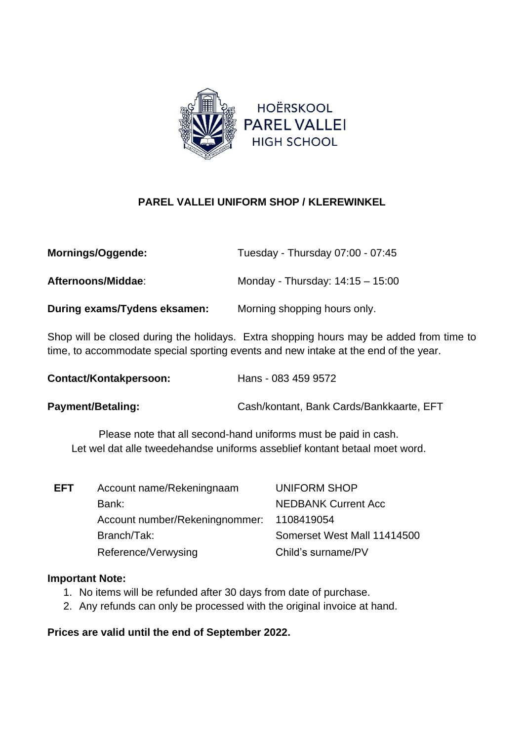

## **PAREL VALLEI UNIFORM SHOP / KLEREWINKEL**

| Mornings/Oggende:            | Tuesday - Thursday 07:00 - 07:45   |
|------------------------------|------------------------------------|
| Afternoons/Middae:           | Monday - Thursday: $14:15 - 15:00$ |
| During exams/Tydens eksamen: | Morning shopping hours only.       |

Shop will be closed during the holidays. Extra shopping hours may be added from time to time, to accommodate special sporting events and new intake at the end of the year.

| Contact/Kontakpersoon: | Hans - 083 459 9572 |
|------------------------|---------------------|
|------------------------|---------------------|

**Payment/Betaling:** Cash/kontant, Bank Cards/Bankkaarte, EFT

Please note that all second-hand uniforms must be paid in cash. Let wel dat alle tweedehandse uniforms asseblief kontant betaal moet word.

| Account name/Rekeningnaam       | <b>UNIFORM SHOP</b>         |
|---------------------------------|-----------------------------|
| Bank:                           | <b>NEDBANK Current Acc</b>  |
| Account number/Rekening nommer: | 1108419054                  |
| Branch/Tak:                     | Somerset West Mall 11414500 |
| Reference/Verwysing             | Child's surname/PV          |
|                                 |                             |

## **Important Note:**

- 1. No items will be refunded after 30 days from date of purchase.
- 2. Any refunds can only be processed with the original invoice at hand.

## **Prices are valid until the end of September 2022.**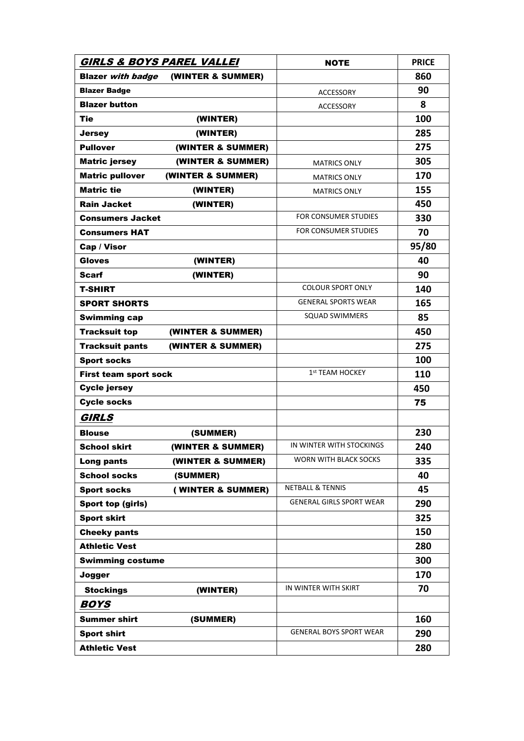| <b>GIRLS &amp; BOYS PAREL VALLEI</b>          |                   | <b>NOTE</b>                     | <b>PRICE</b> |
|-----------------------------------------------|-------------------|---------------------------------|--------------|
| (WINTER & SUMMER)<br><b>Blazer with badge</b> |                   |                                 | 860          |
| <b>Blazer Badge</b>                           |                   | ACCESSORY                       | 90           |
| <b>Blazer button</b>                          |                   | ACCESSORY                       | 8            |
| <b>Tie</b><br>(WINTER)                        |                   |                                 | 100          |
| (WINTER)<br><b>Jersey</b>                     |                   |                                 | 285          |
| <b>Pullover</b>                               | (WINTER & SUMMER) |                                 | 275          |
| <b>Matric jersey</b>                          | (WINTER & SUMMER) | <b>MATRICS ONLY</b>             | 305          |
| <b>Matric pullover</b><br>(WINTER & SUMMER)   |                   | <b>MATRICS ONLY</b>             | 170          |
| <b>Matric tie</b><br>(WINTER)                 |                   | <b>MATRICS ONLY</b>             | 155          |
| <b>Rain Jacket</b><br>(WINTER)                |                   |                                 | 450          |
| <b>Consumers Jacket</b>                       |                   | FOR CONSUMER STUDIES            | 330          |
| <b>Consumers HAT</b>                          |                   | FOR CONSUMER STUDIES            | 70           |
| Cap / Visor                                   |                   |                                 | 95/80        |
| <b>Gloves</b><br>(WINTER)                     |                   |                                 | 40           |
| <b>Scarf</b><br>(WINTER)                      |                   |                                 | 90           |
| <b>T-SHIRT</b>                                |                   | <b>COLOUR SPORT ONLY</b>        | 140          |
| <b>SPORT SHORTS</b>                           |                   | <b>GENERAL SPORTS WEAR</b>      | 165          |
| <b>Swimming cap</b>                           |                   | <b>SQUAD SWIMMERS</b>           | 85           |
| <b>Tracksuit top</b><br>(WINTER & SUMMER)     |                   |                                 | 450          |
| <b>Tracksuit pants</b><br>(WINTER & SUMMER)   |                   |                                 | 275          |
| <b>Sport socks</b>                            |                   |                                 | 100          |
| <b>First team sport sock</b>                  |                   | 1st TEAM HOCKEY                 | 110          |
| <b>Cycle jersey</b>                           |                   |                                 | 450          |
| <b>Cycle socks</b>                            |                   |                                 | 75           |
| <b>GIRLS</b>                                  |                   |                                 |              |
| <b>Blouse</b><br>(SUMMER)                     |                   |                                 | 230          |
| <b>School skirt</b>                           | (WINTER & SUMMER) | IN WINTER WITH STOCKINGS        | 240          |
| Long pants                                    | (WINTER & SUMMER) | WORN WITH BLACK SOCKS           | 335          |
| <b>School socks</b><br>(SUMMER)               |                   |                                 | 40           |
| <b>Sport socks</b>                            | (WINTER & SUMMER) | <b>NETBALL &amp; TENNIS</b>     | 45           |
| Sport top (girls)                             |                   | <b>GENERAL GIRLS SPORT WEAR</b> | 290          |
| <b>Sport skirt</b>                            |                   |                                 | 325          |
| <b>Cheeky pants</b>                           |                   |                                 | 150          |
| <b>Athletic Vest</b>                          |                   |                                 | 280          |
| <b>Swimming costume</b>                       |                   |                                 | 300          |
|                                               |                   |                                 | 170          |
| Jogger                                        |                   | IN WINTER WITH SKIRT            |              |
| <b>Stockings</b><br>(WINTER)                  |                   |                                 | 70           |
| <b>BOYS</b>                                   |                   |                                 |              |
| <b>Summer shirt</b><br>(SUMMER)               |                   |                                 | 160          |
| <b>Sport shirt</b>                            |                   | <b>GENERAL BOYS SPORT WEAR</b>  | 290          |
| <b>Athletic Vest</b>                          |                   |                                 | 280          |